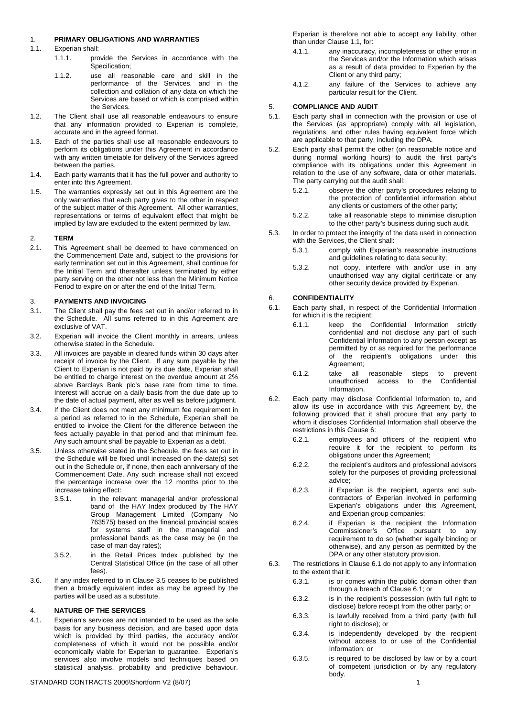### 1. **PRIMARY OBLIGATIONS AND WARRANTIES**

- <span id="page-0-1"></span>1.1 Experian shall:
	- 1.1.1. provide the Services in accordance with the Specification;
	- 1.1.2. use all reasonable care and skill in the performance of the Services, and in the collection and collation of any data on which the Services are based or which is comprised within the Services.
- 1.2. The Client shall use all reasonable endeavours to ensure that any information provided to Experian is complete, accurate and in the agreed format.
- 1.3. Each of the parties shall use all reasonable endeavours to perform its obligations under this Agreement in accordance with any written timetable for delivery of the Services agreed between the parties.
- 1.4. Each party warrants that it has the full power and authority to enter into this Agreement.
- 1.5. The warranties expressly set out in this Agreement are the only warranties that each party gives to the other in respect of the subject matter of this Agreement. All other warranties, representations or terms of equivalent effect that might be implied by law are excluded to the extent permitted by law.

#### 2. **TERM**

2.1. This Agreement shall be deemed to have commenced on the Commencement Date and, subject to the provisions for early termination set out in this Agreement, shall continue for the Initial Term and thereafter unless terminated by either party serving on the other not less than the Minimum Notice Period to expire on or after the end of the Initial Term.

### <span id="page-0-2"></span>3. **PAYMENTS AND INVOICING**

- <span id="page-0-3"></span>3.1. The Client shall pay the fees set out in and/or referred to in the Schedule. All sums referred to in this Agreement are exclusive of VAT.
- 3.2. Experian will invoice the Client monthly in arrears, unless otherwise stated in the Schedule.
- 3.3. All invoices are payable in cleared funds within 30 days after receipt of invoice by the Client. If any sum payable by the Client to Experian is not paid by its due date, Experian shall be entitled to charge interest on the overdue amount at 2% above Barclays Bank plc's base rate from time to time. Interest will accrue on a daily basis from the due date up to the date of actual payment, after as well as before judgment.
- 3.4. If the Client does not meet any minimum fee requirement in a period as referred to in the Schedule, Experian shall be entitled to invoice the Client for the difference between the fees actually payable in that period and that minimum fee. Any such amount shall be payable to Experian as a debt.
- <span id="page-0-0"></span>3.5. Unless otherwise stated in the Schedule, the fees set out in the Schedule will be fixed until increased on the date(s) set out in the Schedule or, if none, then each anniversary of the Commencement Date. Any such increase shall not exceed the percentage increase over the 12 months prior to the increase taking effect:
	- 3.5.1. in the relevant managerial and/or professional band of the HAY Index produced by The HAY Group Management Limited (Company No 763575) based on the financial provincial scales for systems staff in the managerial and professional bands as the case may be (in the case of man day rates);
	- 3.5.2. in the Retail Prices Index published by the Central Statistical Office (in the case of all other fees).
- 3.6. If any index referred to in Clause [3.5](#page-0-0) ceases to be published then a broadly equivalent index as may be agreed by the parties will be used as a substitute.

### 4. **NATURE OF THE SERVICES**

4.1. Experian's services are not intended to be used as the sole basis for any business decision, and are based upon data which is provided by third parties, the accuracy and/or completeness of which it would not be possible and/or economically viable for Experian to guarantee. Experian's services also involve models and techniques based on statistical analysis, probability and predictive behaviour.

Experian is therefore not able to accept any liability, other than under Clause [1.1,](#page-0-1) for:

- 4.1.1. any inaccuracy, incompleteness or other error in the Services and/or the Information which arises as a result of data provided to Experian by the Client or any third party;
- 4.1.2. any failure of the Services to achieve any particular result for the Client.

#### 5. **COMPLIANCE AND AUDIT**

- 5.1. Each party shall in connection with the provision or use of the Services (as appropriate) comply with all legislation, regulations, and other rules having equivalent force which are applicable to that party, including the DPA.
- 5.2. Each party shall permit the other (on reasonable notice and during normal working hours) to audit the first party's compliance with its obligations under this Agreement in relation to the use of any software, data or other materials. The party carrying out the audit shall:
	- 5.2.1. observe the other party's procedures relating to the protection of confidential information about any clients or customers of the other party;
	- 5.2.2. take all reasonable steps to minimise disruption to the other party's business during such audit.
- 5.3. In order to protect the integrity of the data used in connection with the Services, the Client shall:
	- 5.3.1. comply with Experian's reasonable instructions and guidelines relating to data security;
	- 5.3.2. not copy, interfere with and/or use in any unauthorised way any digital certificate or any other security device provided by Experian.

#### 6. **CONFIDENTIALITY**

- 6.1. Each party shall, in respect of the Confidential Information for which it is the recipient:
	- 6.1.1. keep the Confidential Information strictly confidential and not disclose any part of such Confidential Information to any person except as permitted by or as required for the performance of the recipient's obligations under this Agreement;
	- 6.1.2. take all reasonable steps to prevent unauthorised access to the Confidential Information.
- 6.2. Each party may disclose Confidential Information to, and allow its use in accordance with this Agreement by, the following provided that it shall procure that any party to whom it discloses Confidential Information shall observe the restrictions in this Clause [6:](#page-0-2)
	- 6.2.1. employees and officers of the recipient who require it for the recipient to perform its obligations under this Agreement;
	- 6.2.2. the recipient's auditors and professional advisors solely for the purposes of providing professional advice;
	- 6.2.3. if Experian is the recipient, agents and subcontractors of Experian involved in performing Experian's obligations under this Agreement, and Experian group companies;
	- 6.2.4. if Experian is the recipient the Information Commissioner's Office pursuant to any requirement to do so (whether legally binding or otherwise), and any person as permitted by the DPA or any other statutory provision.
- 6.3. The restrictions in Clause [6.1](#page-0-3) do not apply to any information to the extent that it:
	- 6.3.1. is or comes within the public domain other than through a breach of Clause [6.1](#page-0-3); or
	- 6.3.2. is in the recipient's possession (with full right to disclose) before receipt from the other party; or
	- 6.3.3. is lawfully received from a third party (with full right to disclose); or
	- 6.3.4. is independently developed by the recipient without access to or use of the Confidential Information; or
	- 6.3.5. is required to be disclosed by law or by a court of competent jurisdiction or by any regulatory body.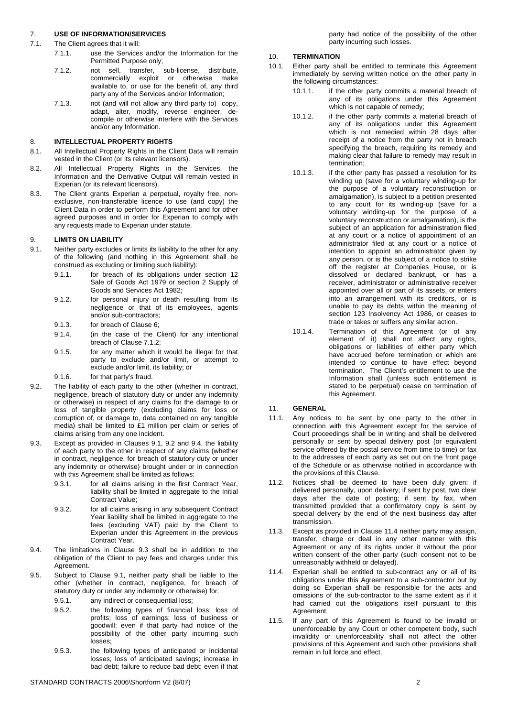## 7. **USE OF INFORMATION/SERVICES**

### <span id="page-1-0"></span>7.1. The Client agrees that it will:

- 7.1.1. use the Services and/or the Information for the Permitted Purpose only;
- 7.1.2. not sell, transfer, sub-license, distribute, commercially exploit or otherwise make available to, or use for the benefit of, any third party any of the Services and/or Information;
- 7.1.3. not (and will not allow any third party to) copy, adapt, alter, modify, reverse engineer, decompile or otherwise interfere with the Services and/or any Information.

# 8. **INTELLECTUAL PROPERTY RIGHTS**

- 8.1. All Intellectual Property Rights in the Client Data will remain vested in the Client (or its relevant licensors).
- 8.2. All Intellectual Property Rights in the Services, the Information and the Derivative Output will remain vested in Experian (or its relevant licensors).
- 8.3. The Client grants Experian a perpetual, royalty free, nonexclusive, non-transferable licence to use (and copy) the Client Data in order to perform this Agreement and for other agreed purposes and in order for Experian to comply with any requests made to Experian under statute.

## 9. **LIMITS ON LIABILITY**

- <span id="page-1-1"></span>9.1. Neither party excludes or limits its liability to the other for any of the following (and nothing in this Agreement shall be construed as excluding or limiting such liability):
	- 9.1.1. for breach of its obligations under section 12 Sale of Goods Act 1979 or section 2 Supply of Goods and Services Act 1982;
	- 9.1.2. for personal injury or death resulting from its negligence or that of its employees, agents and/or sub-contractors;
	- 9.1.3. for breach of Clause [6](#page-0-2);
	- 9.1.4. (in the case of the Client) for any intentional breach of Clause [7.1.2;](#page-1-0)
	- 9.1.5. for any matter which it would be illegal for that party to exclude and/or limit, or attempt to exclude and/or limit, its liability; or
	- 9.1.6. for that party's fraud.
- <span id="page-1-2"></span>9.2. The liability of each party to the other (whether in contract, negligence, breach of statutory duty or under any indemnity or otherwise) in respect of any claims for the damage to or loss of tangible property (excluding claims for loss or corruption of, or damage to, data contained on any tangible media) shall be limited to £1 million per claim or series of claims arising from any one incident.
- <span id="page-1-4"></span>9.3. Except as provided in Clauses [9.1](#page-1-1), [9.2](#page-1-2) and [9.4](#page-1-3), the liability of each party to the other in respect of any claims (whether in contract, negligence, for breach of statutory duty or under any indemnity or otherwise) brought under or in connection with this Agreement shall be limited as follows:
	- 9.3.1. for all claims arising in the first Contract Year, liability shall be limited in aggregate to the Initial Contract Value;
	- 9.3.2. for all claims arising in any subsequent Contract Year liability shall be limited in aggregate to the fees (excluding VAT) paid by the Client to Experian under this Agreement in the previous Contract Year.
- <span id="page-1-3"></span>9.4. The limitations in Clause [9.3](#page-1-4) shall be in addition to the obligation of the Client to pay fees and charges under this Agreement.
- <span id="page-1-5"></span>9.5. Subject to Clause [9.1](#page-1-1), neither party shall be liable to the other (whether in contract, negligence, for breach of statutory duty or under any indemnity or otherwise) for:
	- 9.5.1. any indirect or consequential loss:
	- 9.5.2. the following types of financial loss; loss of profits; loss of earnings; loss of business or goodwill; even if that party had notice of the possibility of the other party incurring such losses;
	- 9.5.3. the following types of anticipated or incidental losses; loss of anticipated savings; increase in bad debt; failure to reduce bad debt; even if that

party had notice of the possibility of the other party incurring such losses.

### 10. **TERMINATION**

- 10.1. Either party shall be entitled to terminate this Agreement immediately by serving written notice on the other party in the following circumstances:
	- 10.1.1. if the other party commits a material breach of any of its obligations under this Agreement which is not capable of remedy;
	- 10.1.2. if the other party commits a material breach of any of its obligations under this Agreement which is not remedied within 28 days after receipt of a notice from the party not in breach specifying the breach, requiring its remedy and making clear that failure to remedy may result in termination;
	- 10.1.3. if the other party has passed a resolution for its winding up (save for a voluntary winding-up for the purpose of a voluntary reconstruction or amalgamation), is subject to a petition presented to any court for its winding-up (save for a voluntary winding-up for the purpose of a voluntary reconstruction or amalgamation), is the subject of an application for administration filed at any court or a notice of appointment of an administrator filed at any court or a notice of intention to appoint an administrator given by any person, or is the subject of a notice to strike off the register at Companies House, or is dissolved or declared bankrupt, or has a receiver, administrator or administrative receiver appointed over all or part of its assets, or enters into an arrangement with its creditors, or is unable to pay its debts within the meaning of section 123 Insolvency Act 1986, or ceases to trade or takes or suffers any similar action.
	- 10.1.4. Termination of this Agreement (or of any element of it) shall not affect any rights, obligations or liabilities of either party which have accrued before termination or which are intended to continue to have effect beyond termination. The Client's entitlement to use the Information shall (unless such entitlement is stated to be perpetual) cease on termination of this Agreement.

# 11. **GENERAL**

- 11.1. Any notices to be sent by one party to the other in connection with this Agreement except for the service of Court proceedings shall be in writing and shall be delivered personally or sent by special delivery post (or equivalent service offered by the postal service from time to time) or fax to the addresses of each party as set out on the front page of the Schedule or as otherwise notified in accordance with the provisions of this Clause.
- 11.2. Notices shall be deemed to have been duly given: if delivered personally, upon delivery; if sent by post, two clear days after the date of posting; if sent by fax, when transmitted provided that a confirmatory copy is sent by special delivery by the end of the next business day after transmission.
- 11.3. Except as provided in Clause [11.4](#page-1-5) neither party may assign, transfer, charge or deal in any other manner with this Agreement or any of its rights under it without the prior written consent of the other party (such consent not to be unreasonably withheld or delayed).
- 11.4. Experian shall be entitled to sub-contract any or all of its obligations under this Agreement to a sub-contractor but by doing so Experian shall be responsible for the acts and omissions of the sub-contractor to the same extent as if it had carried out the obligations itself pursuant to this Agreement.
- 11.5. If any part of this Agreement is found to be invalid or unenforceable by any Court or other competent body, such invalidity or unenforceability shall not affect the other provisions of this Agreement and such other provisions shall remain in full force and effect.